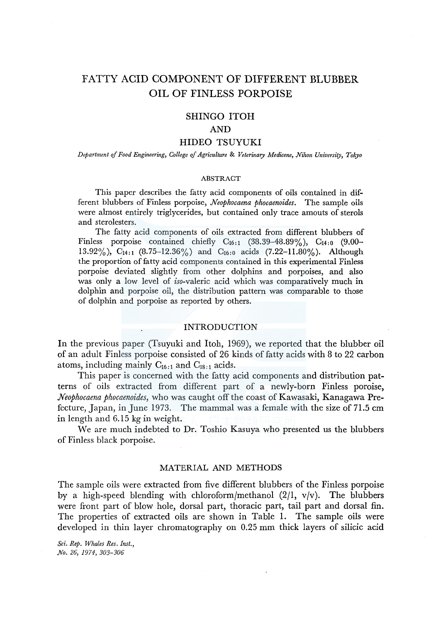# FATTY ACID COMPONENT OF DIFFERENT BLUBBER OIL OF FINLESS PORPOISE

## SHINGO ITOH

#### AND

## HIDEO TSUYUKI

*Department of Food Engineering, College of Agriculture* & *Veterinary Medicene, Nihon University, Tokyo* 

#### ABSTRACT

This paper describes the fatty acid components of oils contained in different blubbers of Finless porpoise, *Neophocaena phocaenoides.* The sample oils were almost entirely triglycerides, but contained only trace amouts of sterols and sterolesters.

The fatty acid components of oils extracted from different blubbers of Finless porpoise contained chiefly C16:1 (38.39-48.89%), C14:o (9.00- 13.92%), C<sub>14:1</sub> (8.75-12.36%) and C<sub>16:0</sub> acids (7.22-11.80%). Although the proportion of fatty acid components contained in this experimental Finless porpoise deviated slightly from other dolphins and porpoises, and also was only a low level of iso-valeric acid which was comparatively much in dolphin and porpoise oil, the distribution pattern was comparable to those of dolphin and porpoise as reported by others.

## INTRODUCTION

In the previous paper (Tsuyuki and Itoh, 1969), we reported that the blubber oil of an adult Finless porpoise consisted of 26 kinds of fatty acids with 8 to 22 carbon atoms, including mainly  $C_{16:1}$  and  $C_{18:1}$  acids.

This paper is concerned with the fatty acid components and distribution patterns of oils extracted from different part of a newly-born Finless poroise, *.Neophocaena phocaenoides,* who was caught off the coast of Kawasaki, Kanagawa Prefecture, Japan, in June 1973. The mammal was a female with the size of 71.5 cm in length and 6.15 kg in weight.

We are much indebted to Dr. Toshio Kasuya who presented us the blubbers of Finless black porpoise.

## MATERIAL AND METHODS

The sample oils were extracted from five different blubbers of the Finless porpoise by a high-speed blending with chloroform/methanol  $(2/1, v/v)$ . The blubbers were front part of blow hole, dorsal part, thoracic part, tail part and dorsal fin. The properties of extracted oils are shown in Table 1. The sample oils were developed in thin layer chromatography on 0.25 mm thick layers of silicic acid

*Sci. Rep. Whales Res. Inst., No. 26, 1974, 303-306*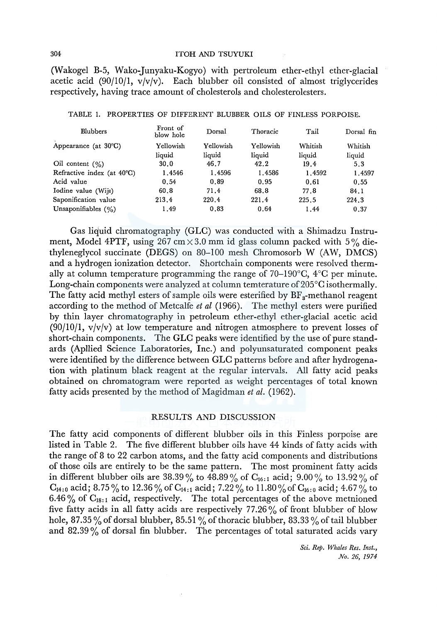## 304 ITOH AND TSUYUKI

(Wakogel B-5, Wako-Junyaku-Kogyo) with pertroleum ether-ethyl ether-glacial acetic acid (90/10/1,  $v/v/v$ ). Each blubber oil consisted of almost triglycerides respectively, having trace amount of cholesterols and cholesterolesters.

| <b>Blubbers</b>                      | Front of<br>blow hole | Dorsal    | Thoracic  | Tail    | Dorsal fin |
|--------------------------------------|-----------------------|-----------|-----------|---------|------------|
| Appearance (at $30^{\circ}$ C)       | Yellowish             | Yellowish | Yellowish | Whitish | Whitish    |
|                                      | liquid                | liquid    | liquid    | liquid  | liquid     |
| Oil content $(\%)$                   | 30.0                  | 46.7      | 42.2      | 19.4    | 5.3        |
| Refractive index (at $40^{\circ}$ C) | 1.4546                | 1.4596    | 1.4586    | 1.4592  | 1.4597     |
| Acid value                           | 0.54                  | 0.89      | 0.95      | 0.61    | 0.55       |
| Iodine value (Wijs)                  | 60.8                  | 71.4      | 68.8      | 77.8    | 84.1       |
| Saponification value                 | 213.4                 | 220.4     | 221.4     | 225.5   | 224.3      |
| Unsaponifiables $(\% )$              | 1.49                  | 0.83      | 0.64      | 1.44    | 0.37       |

#### TABLE 1. PROPERTIES OF DIFFERENT BLUBBER OILS OF FINLESS PORPOISE.

Gas liquid chromatography (GLC) was conducted with a Shimadzu Instrument, Model 4PTF, using  $267 \text{ cm} \times 3.0 \text{ mm}$  id glass column packed with 5% diethyleneglycol succinate (DEGS) on 80-100 mesh Chromosorb W (AW, DMCS) and a hydrogen ionization detector. Shortchain components were resolved thermally at column temperature programming the range of  $70-190^{\circ}$ C,  $4^{\circ}$ C per minute. Long-chain components were analyzed at column temterature of 205°C isothermally. The fatty acid methyl esters of sample oils were esterified by  $BF_a$ -methanol reagent according to the method of Metcalfe *et al* (1966). The methyl esters were purified by thin layer chromatography in petroleum ether-ethyl ether-glacial acetic acid  $(90/10/1, v/v/v)$  at low temperature and nitrogen atmosphere to prevent losses of short-chain components. The GLC peaks were identified by the use of pure standards (Apllied Science Laboratories, Inc.) and polyunsaturated component peaks were identified by the difference between GLC patterns before and after hydrogenation with platinum black reagent at the regular intervals. All fatty acid peaks obtained on chromatogram were reported as weight percentages of total known fatty acids presented by the method of Magidman *et al.* (1962).

## RESULTS AND DISCUSSION

The fatty acid components of different blubber oils in this Finless porpoise are listed in Table 2. The five different blubber oils have 44 kinds of fatty acids with the range of 8 to 22 carbon atoms, and the fatty acid components and distributions of those oils are entirely to be the same pattern. The most prominent fatty acids in different blubber oils are 38.39% to 48.89% of  $C_{16:1}$  acid; 9.00% to 13.92% of  $C_{14:0}$  acid; 8.75% to 12.36% of  $C_{14:1}$  acid; 7.22% to 11.80% of  $C_{16:0}$  acid; 4.67% to 6.46  $\%$  of C<sub>18:1</sub> acid, respectively. The total percentages of the above metnioned five fatty acids in all fatty acids are respectively  $77.26\%$  of front blubber of blow hole, 87.35% of dorsal blubber, 85.51% of thoracic blubber, 83.33% of tail blubber and  $82.39\%$  of dorsal fin blubber. The percentages of total saturated acids vary

> *Sci. Rep. Whales Res. Inst., No. 26, 1974*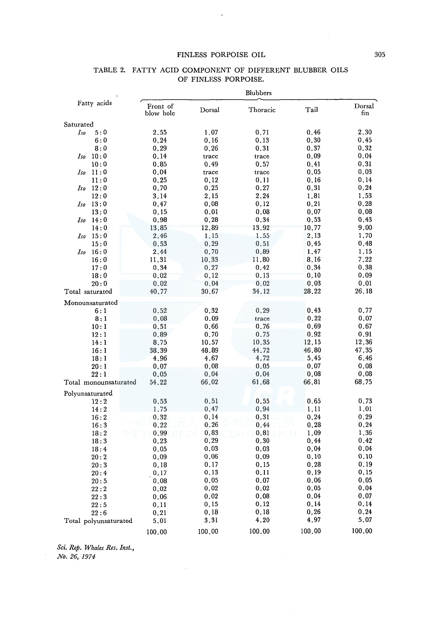## FINLESS PORPOISE OIL 305

 $\sim$   $\sim$ 

|                       |                       | <b>Blubbers</b> |          |        |               |  |
|-----------------------|-----------------------|-----------------|----------|--------|---------------|--|
| Fatty acids           | Front of<br>blow hole | Dorsal          | Thoracic | Tail   | Dorsal<br>fin |  |
| Saturated             |                       |                 |          |        |               |  |
| 5:0<br>Iso            | 2,55                  | 1.07            | 0.71     | 0.46   | 2,30          |  |
| 6:0                   | 0.24                  | 0.16            | 0.13     | 0.30   | 0.45          |  |
| 8:0                   | 0.29                  | 0.26            | 0.31     | 0.37   | 0.32          |  |
| 10:0<br>Iso           | 0.14                  | trace           | trace    | 0.09   | 0.04          |  |
| 10:0                  | 0.85                  | 0.49            | 0.57     | 0.41   | 0.31          |  |
| 11:0<br>Iso           | 0.04                  | trace           | trace    | 0.05   | 0.03          |  |
| 11:0                  | 0.25                  | 0.12            | 0.11     | 0.16   | 0.14          |  |
| $Iso$ $12:0$          | 0.70                  | 0.25            | 0.27     | 0.31   | 0.24          |  |
| 12:0                  | 3.14                  | 2,15            | 2.24     | 1,81   | 1.53          |  |
| 13:0<br>Iso           | 0.47                  | 0.08            | 0.12     | 0.21   | 0.28          |  |
| 13:0                  | 0.15                  | 0.01            | 0.08     | 0.07   | 0,08          |  |
| 14:0<br>Iso           | 0.98                  | 0.28            | 0.34     | 0.53   | 0.43          |  |
| 14:0                  | 13,85                 | 12.89           | 13.92    | 10.77  | 9.00          |  |
| 15:0<br>Iso           | 2.46                  | 1.15            | 1.55     | 2.13   | 1.70          |  |
| 15:0                  | 0.53                  | 0.29            | 0,51     | 0.45   | 0.48          |  |
| 16:0<br>Iso           | 2.44                  | 0.70            | 0.89     | 1.47   | 1.15          |  |
| 16:0                  | 11.31                 | 10.33           | 11.80    | 8.16   | 7.22          |  |
| 17:0                  | 0.34                  | 0.27            | 0.42     | 0.34   | 0.38          |  |
| 18:0                  | 0.02                  | 0.12            | 0.13     | 0,10   | 0.09          |  |
| 20:0                  | 0.02                  | 0.04            | 0.02     | 0.03   | 0.01          |  |
| Total saturated       | 40.77                 | 30.67           | 34.12    | 28.22  | 26.18         |  |
| Monounsaturated       |                       |                 |          |        |               |  |
| 6:1                   | 0.52                  | 0.32            | 0.29     | 0.43   | 0.77          |  |
| 8:1                   | 0.08                  | 0.09            | trace    | 0.22   | 0.07          |  |
| 10:1                  | 0.51                  | 0.66            | 0.76     | 0.69   | 0.67          |  |
| 12:1                  | 0.89                  | 0.70            | 0.75     | 0.92   | 0.91          |  |
| 14:1                  | 8.75                  | 10.57           | 10.35    | 12.15  | 12.36         |  |
| 16:1                  | 38.39                 | 48.89           | 44.72    | 46.80  | 47,35         |  |
| 18:1                  | 4.96                  | 4.67            | 4.72     | 5.45   | 6.46          |  |
| 20:1                  | 0.07                  | 0.08            | 0.05     | 0.07   | 0.08          |  |
| 22:1                  | 0.05                  | 0.04            | 0.04     | 0.08   | 0,08          |  |
| Total monounsaturated | 54.22                 | 66.02           | 61.68    | 66.81  | 68.75         |  |
| Polyunsaturated       |                       |                 |          |        |               |  |
| 12:2                  | 0.53                  | 0.51            | 0.55     | 0.65   | 0.73          |  |
| 14:2                  | 1.75                  | 0.47            | 0.94     | 1.11   | 1.01          |  |
| 16:2                  | 0.32                  | 0.14            | 0.31     | 0.24   | 0.29          |  |
| 16:3                  | 0.22                  | 0.26            | 0.44     | 0.28   | 0.24          |  |
| 18:2                  | 0.99                  | 0.83            | 0.81     | 1.09   | 1.36          |  |
| 18:3                  | 0.23                  | 0.29            | 0.30     | 0.44   | 0.42          |  |
| 18:4                  | 0,05                  | 0.03            | 0.03     | 0.04   | 0.04          |  |
| 20:2                  | 0.09                  | 0.06            | 0.09     | 0.10   | 0.10          |  |
| 20:3                  | 0.18                  | 0.17            | 0.15     | 0.28   | 0.19          |  |
| 20:4                  | 0.17                  | 0.13            | 0.11     | 0.19   | 0.15          |  |
| 20:5                  | 0.08                  | 0.05            | 0.07     | 0.06   | 0.05          |  |
| 22:2                  | 0.02                  | 0.02            | 0.02     | 0.05   | 0.04          |  |
| 22:3                  | 0.06                  | 0.02            | 0.08     | 0.04   | 0.07          |  |
| 22:5                  | 0.11                  | 0.15            | 0.12     | 0.14   | 0.14          |  |
| 22:6                  | 0.21                  | 0.18            | 0.18     | 0.26   | 0.24          |  |
| Total polyunsaturated | 5.01                  | 3.31            | 4.20     | 4.97   | 5.07          |  |
|                       | 100.00                | 100.00          | 100.00   | 100.00 | 100.00        |  |

#### TABLE 2. FATTY ACID COMPONENT OF DIFFERENT BLUBBER OILS OF FINLESS PORPOISE.

*Sci. Rep. Whales Res. Inst., No. 26, 1974*